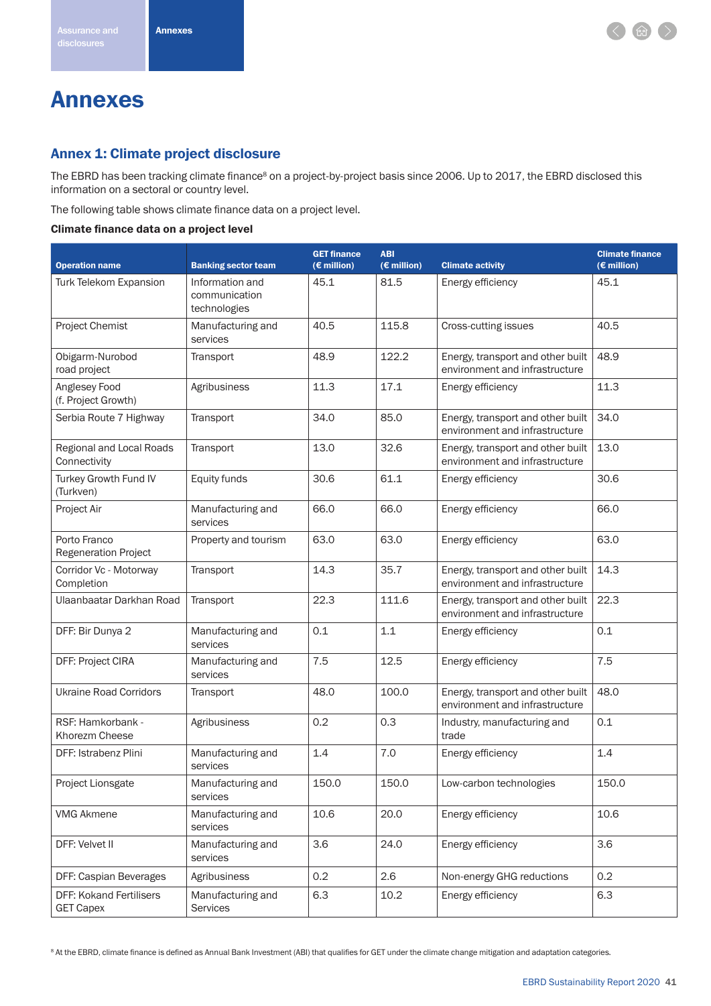# Annexes

## Annex 1: Climate project disclosure

The EBRD has been tracking climate finance<sup>8</sup> on a project-by-project basis since 2006. Up to 2017, the EBRD disclosed this information on a sectoral or country level.

The following table shows climate finance data on a project level.

#### Climate finance data on a project level

| <b>Operation name</b>                              | <b>Banking sector team</b>                       | <b>GET finance</b><br>$(E$ million) | <b>ABI</b><br>$(E$ million) | <b>Climate activity</b>                                             | <b>Climate finance</b><br>$(E$ million) |
|----------------------------------------------------|--------------------------------------------------|-------------------------------------|-----------------------------|---------------------------------------------------------------------|-----------------------------------------|
| Turk Telekom Expansion                             | Information and<br>communication<br>technologies | 45.1                                | 81.5                        | Energy efficiency                                                   | 45.1                                    |
| Project Chemist                                    | Manufacturing and<br>services                    | 40.5                                | 115.8                       | Cross-cutting issues                                                | 40.5                                    |
| Obigarm-Nurobod<br>road project                    | Transport                                        | 48.9                                | 122.2                       | Energy, transport and other built<br>environment and infrastructure | 48.9                                    |
| Anglesey Food<br>(f. Project Growth)               | Agribusiness                                     | 11.3                                | 17.1                        | Energy efficiency                                                   | 11.3                                    |
| Serbia Route 7 Highway                             | Transport                                        | 34.0                                | 85.0                        | Energy, transport and other built<br>environment and infrastructure | 34.0                                    |
| Regional and Local Roads<br>Connectivity           | Transport                                        | 13.0                                | 32.6                        | Energy, transport and other built<br>environment and infrastructure | 13.0                                    |
| Turkey Growth Fund IV<br>(Turkven)                 | Equity funds                                     | 30.6                                | 61.1                        | Energy efficiency                                                   | 30.6                                    |
| Project Air                                        | Manufacturing and<br>services                    | 66.0                                | 66.0                        | Energy efficiency                                                   | 66.0                                    |
| Porto Franco<br><b>Regeneration Project</b>        | Property and tourism                             | 63.0                                | 63.0                        | Energy efficiency                                                   | 63.0                                    |
| Corridor Vc - Motorway<br>Completion               | Transport                                        | 14.3                                | 35.7                        | Energy, transport and other built<br>environment and infrastructure | 14.3                                    |
| Ulaanbaatar Darkhan Road                           | Transport                                        | 22.3                                | 111.6                       | Energy, transport and other built<br>environment and infrastructure | 22.3                                    |
| DFF: Bir Dunya 2                                   | Manufacturing and<br>services                    | 0.1                                 | 1.1                         | Energy efficiency                                                   | 0.1                                     |
| DFF: Project CIRA                                  | Manufacturing and<br>services                    | 7.5                                 | 12.5                        | Energy efficiency                                                   | 7.5                                     |
| <b>Ukraine Road Corridors</b>                      | Transport                                        | 48.0                                | 100.0                       | Energy, transport and other built<br>environment and infrastructure | 48.0                                    |
| RSF: Hamkorbank -<br>Khorezm Cheese                | Agribusiness                                     | 0.2                                 | 0.3                         | Industry, manufacturing and<br>trade                                | 0.1                                     |
| DFF: Istrabenz Plini                               | Manufacturing and<br>services                    | 1.4                                 | 7.0                         | Energy efficiency                                                   | 1.4                                     |
| Project Lionsgate                                  | Manufacturing and<br>services                    | 150.0                               | 150.0                       | Low-carbon technologies                                             | 150.0                                   |
| <b>VMG Akmene</b>                                  | Manufacturing and<br>services                    | 10.6                                | 20.0                        | Energy efficiency                                                   | 10.6                                    |
| DFF: Velvet II                                     | Manufacturing and<br>services                    | 3.6                                 | 24.0                        | Energy efficiency                                                   | 3.6                                     |
| DFF: Caspian Beverages                             | Agribusiness                                     | 0.2                                 | 2.6                         | Non-energy GHG reductions                                           | 0.2                                     |
| <b>DFF: Kokand Fertilisers</b><br><b>GET Capex</b> | Manufacturing and<br>Services                    | 6.3                                 | 10.2                        | Energy efficiency                                                   | 6.3                                     |

<sup>8</sup> At the EBRD, climate finance is defined as Annual Bank Investment (ABI) that qualifies for GET under the climate change mitigation and adaptation categories.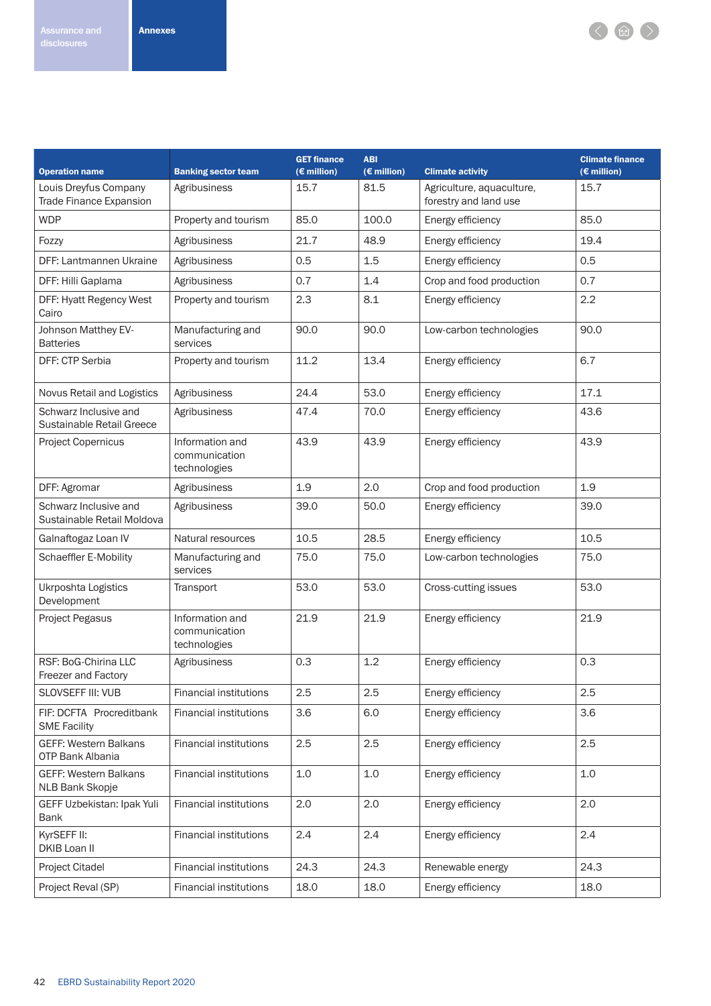

| <b>Operation name</b>                                   | <b>Banking sector team</b>                       | <b>GET finance</b><br>$(E$ million) | <b>ABI</b><br>$(E \text{ million})$ | <b>Climate activity</b>                            | <b>Climate finance</b><br>$(E$ million) |  |
|---------------------------------------------------------|--------------------------------------------------|-------------------------------------|-------------------------------------|----------------------------------------------------|-----------------------------------------|--|
| Louis Dreyfus Company<br><b>Trade Finance Expansion</b> | Agribusiness                                     | 15.7                                | 81.5                                | Agriculture, aquaculture,<br>forestry and land use | 15.7                                    |  |
| <b>WDP</b>                                              | Property and tourism                             | 85.0                                | 100.0                               | Energy efficiency                                  | 85.0                                    |  |
| Fozzy                                                   | Agribusiness                                     | 21.7                                | 48.9                                | Energy efficiency                                  | 19.4                                    |  |
| DFF: Lantmannen Ukraine                                 | Agribusiness                                     | 0.5                                 | 1.5                                 | Energy efficiency                                  | 0.5                                     |  |
| DFF: Hilli Gaplama                                      | Agribusiness                                     | 0.7                                 | 1.4                                 | Crop and food production                           | 0.7                                     |  |
| DFF: Hyatt Regency West<br>Cairo                        | Property and tourism                             | 2.3                                 | 8.1                                 | Energy efficiency                                  | 2.2                                     |  |
| Johnson Matthey EV-<br><b>Batteries</b>                 | Manufacturing and<br>services                    | 90.0                                | 90.0                                | Low-carbon technologies                            | 90.0                                    |  |
| <b>DFF: CTP Serbia</b>                                  | Property and tourism                             | 11.2                                | 13.4                                | Energy efficiency                                  | 6.7                                     |  |
| Novus Retail and Logistics                              | Agribusiness                                     | 24.4                                | 53.0                                | Energy efficiency                                  | 17.1                                    |  |
| Schwarz Inclusive and<br>Sustainable Retail Greece      | Agribusiness                                     | 47.4                                | 70.0                                | Energy efficiency                                  | 43.6                                    |  |
| <b>Project Copernicus</b>                               | Information and<br>communication<br>technologies | 43.9                                | 43.9                                | Energy efficiency                                  | 43.9                                    |  |
| DFF: Agromar                                            | Agribusiness                                     | 1.9                                 | 2.0                                 | Crop and food production                           | 1.9                                     |  |
| Schwarz Inclusive and<br>Sustainable Retail Moldova     | Agribusiness                                     | 39.0                                | 50.0                                | Energy efficiency                                  | 39.0                                    |  |
| Galnaftogaz Loan IV                                     | Natural resources                                | 10.5                                | 28.5                                | Energy efficiency                                  | 10.5                                    |  |
| Schaeffler E-Mobility                                   | Manufacturing and<br>services                    | 75.0                                | 75.0                                | Low-carbon technologies                            | 75.0                                    |  |
| Ukrposhta Logistics<br>Development                      | Transport                                        | 53.0                                | 53.0                                | Cross-cutting issues                               | 53.0                                    |  |
| <b>Project Pegasus</b>                                  | Information and<br>communication<br>technologies | 21.9                                | 21.9                                | Energy efficiency                                  | 21.9                                    |  |
| RSF: BoG-Chirina LLC<br><b>Freezer and Factory</b>      | Agribusiness                                     | 0.3                                 | 1.2                                 | Energy efficiency                                  | 0.3                                     |  |
| SLOVSEFF III: VUB                                       | <b>Financial institutions</b>                    | 2.5                                 | 2.5                                 | Energy efficiency                                  | 2.5                                     |  |
| FIF: DCFTA Procreditbank<br><b>SME Facility</b>         | <b>Financial institutions</b>                    | 3.6                                 | 6.0                                 | Energy efficiency                                  | 3.6                                     |  |
| <b>GEFF: Western Balkans</b><br>OTP Bank Albania        | <b>Financial institutions</b>                    | 2.5                                 | 2.5                                 | Energy efficiency                                  | 2.5                                     |  |
| <b>GEFF: Western Balkans</b><br>NLB Bank Skopje         | <b>Financial institutions</b>                    | 1.0                                 | 1.0                                 | Energy efficiency                                  | 1.0                                     |  |
| GEFF Uzbekistan: Ipak Yuli<br>Bank                      | <b>Financial institutions</b>                    | 2.0                                 | 2.0                                 | Energy efficiency                                  | 2.0                                     |  |
| KyrSEFF II:<br>DKIB Loan II                             | <b>Financial institutions</b>                    | 2.4                                 | 2.4                                 | Energy efficiency                                  | 2.4                                     |  |
| Project Citadel                                         | <b>Financial institutions</b>                    | 24.3                                | 24.3                                | Renewable energy                                   | 24.3                                    |  |
| Project Reval (SP)                                      | <b>Financial institutions</b>                    | 18.0                                | 18.0                                | Energy efficiency                                  | 18.0                                    |  |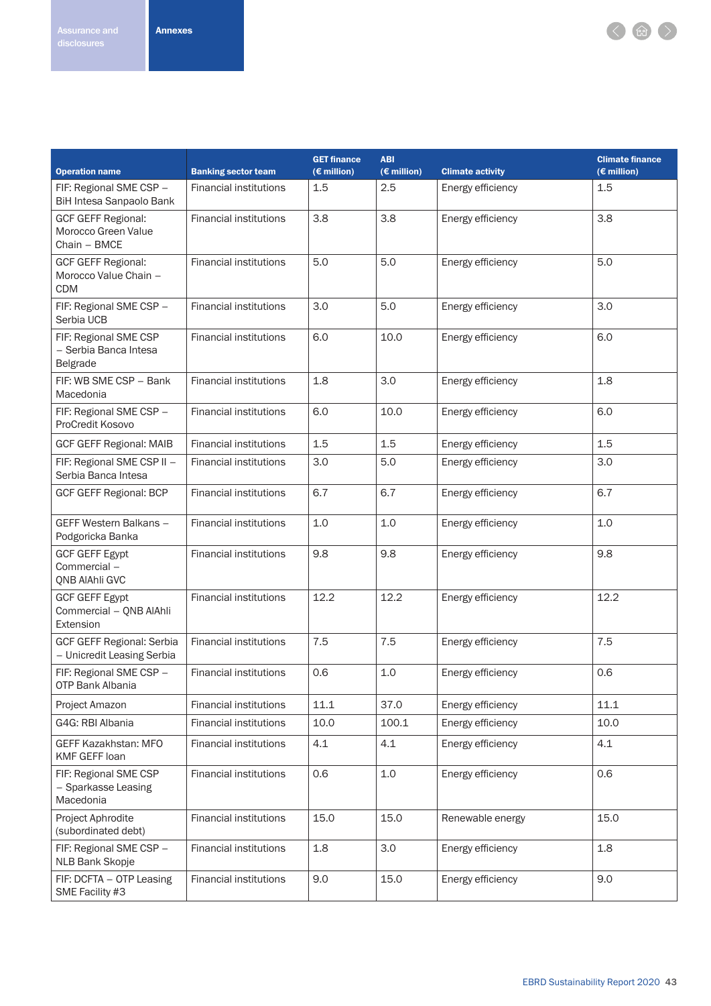< 曲>

|                                                                  |                               | <b>GET finance</b> | <b>ABI</b>    |                         | <b>Climate finance</b> |
|------------------------------------------------------------------|-------------------------------|--------------------|---------------|-------------------------|------------------------|
| <b>Operation name</b>                                            | <b>Banking sector team</b>    | (€ million)        | $(E$ million) | <b>Climate activity</b> | (€ million)            |
| FIF: Regional SME CSP -<br>BiH Intesa Sanpaolo Bank              | <b>Financial institutions</b> | 1.5                | 2.5           | Energy efficiency       | 1.5                    |
| <b>GCF GEFF Regional:</b><br>Morocco Green Value<br>Chain - BMCE | <b>Financial institutions</b> | 3.8                | 3.8           | Energy efficiency       | 3.8                    |
| <b>GCF GEFF Regional:</b><br>Morocco Value Chain -<br><b>CDM</b> | <b>Financial institutions</b> | 5.0                | 5.0           | Energy efficiency       | 5.0                    |
| FIF: Regional SME CSP -<br>Serbia UCB                            | <b>Financial institutions</b> | 3.0                | 5.0           | Energy efficiency       | 3.0                    |
| FIF: Regional SME CSP<br>- Serbia Banca Intesa<br>Belgrade       | <b>Financial institutions</b> | 6.0                | 10.0          | Energy efficiency       | 6.0                    |
| FIF: WB SME CSP - Bank<br>Macedonia                              | <b>Financial institutions</b> | 1.8                | 3.0           | Energy efficiency       | 1.8                    |
| FIF: Regional SME CSP -<br>ProCredit Kosovo                      | <b>Financial institutions</b> | 6.0                | 10.0          | Energy efficiency       | 6.0                    |
| <b>GCF GEFF Regional: MAIB</b>                                   | <b>Financial institutions</b> | 1.5                | 1.5           | Energy efficiency       | 1.5                    |
| FIF: Regional SME CSP II -<br>Serbia Banca Intesa                | <b>Financial institutions</b> | 3.0                | 5.0           | Energy efficiency       | 3.0                    |
| <b>GCF GEFF Regional: BCP</b>                                    | <b>Financial institutions</b> | 6.7                | 6.7           | Energy efficiency       | 6.7                    |
| GEFF Western Balkans -<br>Podgoricka Banka                       | <b>Financial institutions</b> | 1.0                | 1.0           | Energy efficiency       | 1.0                    |
| <b>GCF GEFF Egypt</b><br>Commercial-<br>QNB AIAhli GVC           | <b>Financial institutions</b> | 9.8                | 9.8           | Energy efficiency       | 9.8                    |
| <b>GCF GEFF Egypt</b><br>Commercial - QNB AlAhli<br>Extension    | <b>Financial institutions</b> | 12.2               | 12.2          | Energy efficiency       | 12.2                   |
| <b>GCF GEFF Regional: Serbia</b><br>- Unicredit Leasing Serbia   | <b>Financial institutions</b> | 7.5                | 7.5           | Energy efficiency       | 7.5                    |
| FIF: Regional SME CSP -<br>OTP Bank Albania                      | <b>Financial institutions</b> | 0.6                | 1.0           | Energy efficiency       | 0.6                    |
| Project Amazon                                                   | <b>Financial institutions</b> | 11.1               | 37.0          | Energy efficiency       | 11.1                   |
| G4G: RBI Albania                                                 | <b>Financial institutions</b> | 10.0               | 100.1         | Energy efficiency       | 10.0                   |
| <b>GEFF Kazakhstan: MFO</b><br>KMF GEFF loan                     | Financial institutions        | 4.1                | 4.1           | Energy efficiency       | 4.1                    |
| FIF: Regional SME CSP<br>- Sparkasse Leasing<br>Macedonia        | <b>Financial institutions</b> | 0.6                | 1.0           | Energy efficiency       | 0.6                    |
| Project Aphrodite<br>(subordinated debt)                         | <b>Financial institutions</b> | 15.0               | 15.0          | Renewable energy        | 15.0                   |
| FIF: Regional SME CSP -<br>NLB Bank Skopje                       | Financial institutions        | 1.8                | 3.0           | Energy efficiency       | 1.8                    |
| FIF: DCFTA - OTP Leasing<br>SME Facility #3                      | <b>Financial institutions</b> | 9.0                | 15.0          | Energy efficiency       | 9.0                    |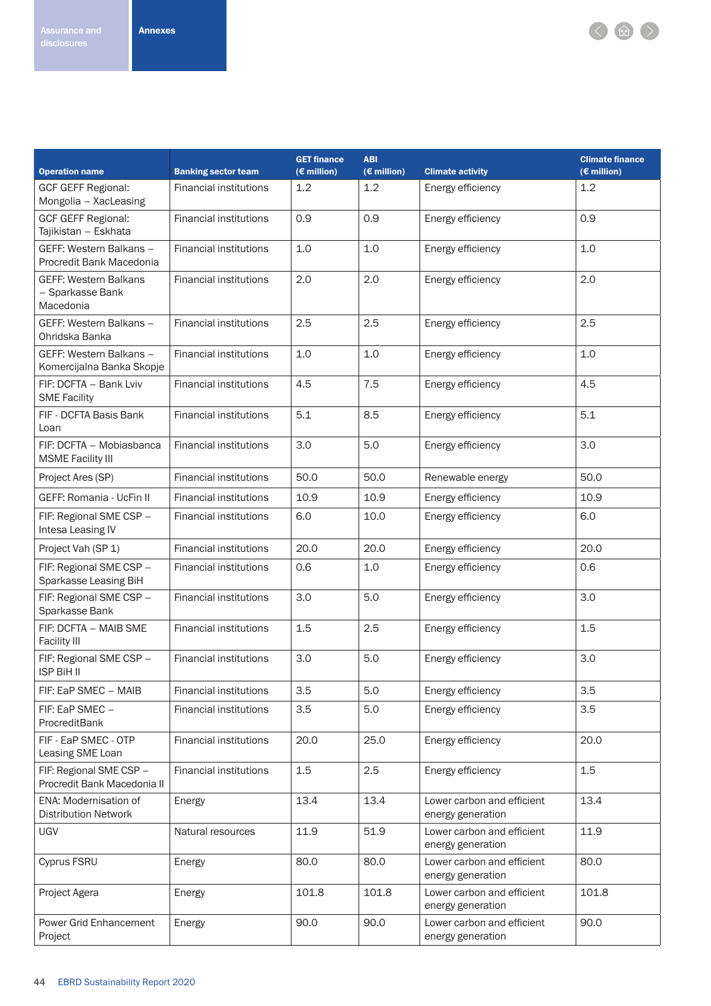

|                                                        |                               | <b>GET finance</b> | <b>ABI</b><br><b>Climate finance</b> |                                                 |               |  |  |
|--------------------------------------------------------|-------------------------------|--------------------|--------------------------------------|-------------------------------------------------|---------------|--|--|
| <b>Operation name</b>                                  | <b>Banking sector team</b>    | $(E$ million)      | $(E$ million)                        | <b>Climate activity</b>                         | $(E$ million) |  |  |
| <b>GCF GEFF Regional:</b><br>Mongolia - XacLeasing     | <b>Financial institutions</b> | 1.2                | 1.2                                  | Energy efficiency                               | 1.2           |  |  |
| <b>GCF GEFF Regional:</b><br>Tajikistan - Eskhata      | <b>Financial institutions</b> | 0.9                | 0.9                                  | Energy efficiency                               | 0.9           |  |  |
| GEFF: Western Balkans -<br>Procredit Bank Macedonia    | <b>Financial institutions</b> | 1.0                | 1.0                                  | Energy efficiency                               | 1.0           |  |  |
| GEFF: Western Balkans<br>- Sparkasse Bank<br>Macedonia | <b>Financial institutions</b> | 2.0                | 2.0                                  | Energy efficiency                               | 2.0           |  |  |
| GEFF: Western Balkans -<br>Ohridska Banka              | <b>Financial institutions</b> | 2.5                | 2.5                                  | Energy efficiency                               | 2.5           |  |  |
| GEFF: Western Balkans -<br>Komercijalna Banka Skopje   | <b>Financial institutions</b> | 1.0                | 1.0                                  | Energy efficiency                               | 1.0           |  |  |
| FIF: DCFTA - Bank Lviv<br><b>SME Facility</b>          | <b>Financial institutions</b> | 4.5                | 7.5                                  | Energy efficiency                               | 4.5           |  |  |
| FIF - DCFTA Basis Bank<br>Loan                         | <b>Financial institutions</b> | 5.1                | 8.5                                  | Energy efficiency                               | 5.1           |  |  |
| FIF: DCFTA - Mobiasbanca<br><b>MSME Facility III</b>   | <b>Financial institutions</b> | 3.0                | 5.0                                  | Energy efficiency                               | 3.0           |  |  |
| Project Ares (SP)                                      | <b>Financial institutions</b> | 50.0               | 50.0                                 | Renewable energy                                | 50.0          |  |  |
| <b>GEFF: Romania - UcFin II</b>                        | <b>Financial institutions</b> | 10.9               | 10.9                                 | Energy efficiency                               | 10.9          |  |  |
| FIF: Regional SME CSP -<br>Intesa Leasing IV           | <b>Financial institutions</b> | 6.0                | 10.0                                 | Energy efficiency                               | 6.0           |  |  |
| Project Vah (SP 1)                                     | <b>Financial institutions</b> | 20.0               | 20.0                                 | Energy efficiency                               | 20.0          |  |  |
| FIF: Regional SME CSP -<br>Sparkasse Leasing BiH       | <b>Financial institutions</b> | 0.6                | 1.0                                  | Energy efficiency                               | 0.6           |  |  |
| FIF: Regional SME CSP -<br>Sparkasse Bank              | <b>Financial institutions</b> | 3.0                | 5.0                                  | Energy efficiency                               | 3.0           |  |  |
| FIF: DCFTA - MAIB SME<br><b>Facility III</b>           | <b>Financial institutions</b> | 1.5                | 2.5                                  | Energy efficiency                               | 1.5           |  |  |
| FIF: Regional SME CSP -<br><b>ISP BiH II</b>           | <b>Financial institutions</b> | 3.0                | 5.0                                  | Energy efficiency                               | 3.0           |  |  |
| FIF: EaP SMEC - MAIB                                   | Financial institutions        | 3.5                | 5.0                                  | Energy efficiency                               | 3.5           |  |  |
| FIF: EaP SMEC -<br>ProcreditBank                       | <b>Financial institutions</b> | 3.5                | 5.0                                  | Energy efficiency                               | 3.5           |  |  |
| FIF - EaP SMEC - OTP<br>Leasing SME Loan               | <b>Financial institutions</b> | 20.0               | 25.0                                 | Energy efficiency                               | 20.0          |  |  |
| FIF: Regional SME CSP -<br>Procredit Bank Macedonia II | <b>Financial institutions</b> | 1.5                | 2.5                                  | Energy efficiency                               | 1.5           |  |  |
| ENA: Modernisation of<br><b>Distribution Network</b>   | Energy                        | 13.4               | 13.4                                 | Lower carbon and efficient<br>energy generation | 13.4          |  |  |
| <b>UGV</b>                                             | Natural resources             | 11.9               | 51.9                                 | Lower carbon and efficient<br>energy generation | 11.9          |  |  |
| Cyprus FSRU                                            | Energy                        | 80.0               | 80.0                                 | Lower carbon and efficient<br>energy generation | 80.0          |  |  |
| Project Agera                                          | Energy                        | 101.8              | 101.8                                | Lower carbon and efficient<br>energy generation | 101.8         |  |  |
| Power Grid Enhancement<br>Project                      | Energy                        | 90.0               | 90.0                                 | Lower carbon and efficient<br>energy generation | 90.0          |  |  |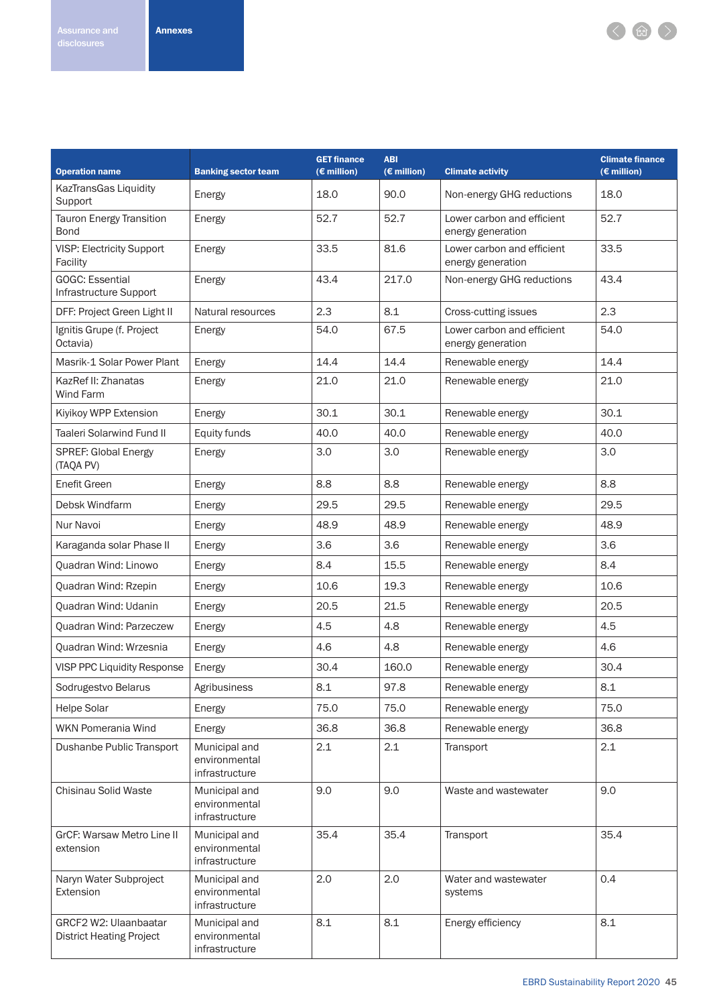

| <b>Operation name</b>                                    | <b>Banking sector team</b>                       | <b>GET finance</b><br>$(E$ million) | <b>ABI</b><br>$(\epsilon$ million) | <b>Climate activity</b>                         | <b>Climate finance</b><br>$(E \text{ million})$ |
|----------------------------------------------------------|--------------------------------------------------|-------------------------------------|------------------------------------|-------------------------------------------------|-------------------------------------------------|
| KazTransGas Liquidity<br>Support                         | Energy                                           | 18.0                                | 90.0                               | Non-energy GHG reductions                       | 18.0                                            |
| <b>Tauron Energy Transition</b><br><b>Bond</b>           | Energy                                           | 52.7                                | 52.7                               | Lower carbon and efficient<br>energy generation | 52.7                                            |
| <b>VISP: Electricity Support</b><br>Facility             | Energy                                           | 33.5                                | 81.6                               | Lower carbon and efficient<br>energy generation | 33.5                                            |
| <b>GOGC: Essential</b><br>Infrastructure Support         | Energy                                           | 43.4                                | 217.0                              | Non-energy GHG reductions                       | 43.4                                            |
| DFF: Project Green Light II                              | Natural resources                                | 2.3                                 | 8.1                                | Cross-cutting issues                            | 2.3                                             |
| Ignitis Grupe (f. Project<br>Octavia)                    | Energy                                           | 54.0                                | 67.5                               | Lower carbon and efficient<br>energy generation | 54.0                                            |
| Masrik-1 Solar Power Plant                               | Energy                                           | 14.4                                | 14.4                               | Renewable energy                                | 14.4                                            |
| KazRef II: Zhanatas<br><b>Wind Farm</b>                  | Energy                                           | 21.0                                | 21.0                               | Renewable energy                                | 21.0                                            |
| Kiyikoy WPP Extension                                    | Energy                                           | 30.1                                | 30.1                               | Renewable energy                                | 30.1                                            |
| <b>Taaleri Solarwind Fund II</b>                         | Equity funds                                     | 40.0                                | 40.0                               | Renewable energy                                | 40.0                                            |
| SPREF: Global Energy<br>(TAQA PV)                        | Energy                                           | 3.0                                 | 3.0                                | Renewable energy                                | 3.0                                             |
| <b>Enefit Green</b>                                      | Energy                                           | 8.8                                 | 8.8                                | Renewable energy                                | 8.8                                             |
| Debsk Windfarm                                           | Energy                                           | 29.5                                | 29.5                               | Renewable energy                                | 29.5                                            |
| Nur Navoi                                                | Energy                                           | 48.9                                | 48.9                               | Renewable energy                                | 48.9                                            |
| Karaganda solar Phase II                                 | Energy                                           | 3.6                                 | 3.6                                | Renewable energy                                | 3.6                                             |
| Quadran Wind: Linowo                                     | Energy                                           | 8.4                                 | 15.5                               | Renewable energy                                | 8.4                                             |
| Quadran Wind: Rzepin                                     | Energy                                           | 10.6                                | 19.3                               | Renewable energy                                | 10.6                                            |
| Quadran Wind: Udanin                                     | Energy                                           | 20.5                                | 21.5                               | Renewable energy                                | 20.5                                            |
| <b>Ouadran Wind: Parzeczew</b>                           | Energy                                           | 4.5                                 | 4.8                                | Renewable energy                                | 4.5                                             |
| Quadran Wind: Wrzesnia                                   | Energy                                           | 4.6                                 | 4.8                                | Renewable energy                                | 4.6                                             |
| <b>VISP PPC Liquidity Response</b>                       | Energy                                           | 30.4                                | 160.0                              | Renewable energy                                | 30.4                                            |
| Sodrugestvo Belarus                                      | Agribusiness                                     | 8.1                                 | 97.8                               | Renewable energy                                | 8.1                                             |
| Helpe Solar                                              | Energy                                           | 75.0                                | 75.0                               | Renewable energy                                | 75.0                                            |
| WKN Pomerania Wind                                       | Energy                                           | 36.8                                | 36.8                               | Renewable energy                                | 36.8                                            |
| Dushanbe Public Transport                                | Municipal and<br>environmental<br>infrastructure | 2.1                                 | 2.1                                | Transport                                       | 2.1                                             |
| Chisinau Solid Waste                                     | Municipal and<br>environmental<br>infrastructure | 9.0                                 | 9.0                                | Waste and wastewater                            | 9.0                                             |
| GrCF: Warsaw Metro Line II<br>extension                  | Municipal and<br>environmental<br>infrastructure | 35.4                                | 35.4                               | Transport                                       | 35.4                                            |
| Naryn Water Subproject<br>Extension                      | Municipal and<br>environmental<br>infrastructure | 2.0                                 | 2.0                                | Water and wastewater<br>systems                 | 0.4                                             |
| GRCF2 W2: Ulaanbaatar<br><b>District Heating Project</b> | Municipal and<br>environmental<br>infrastructure | 8.1                                 | 8.1                                | Energy efficiency                               | 8.1                                             |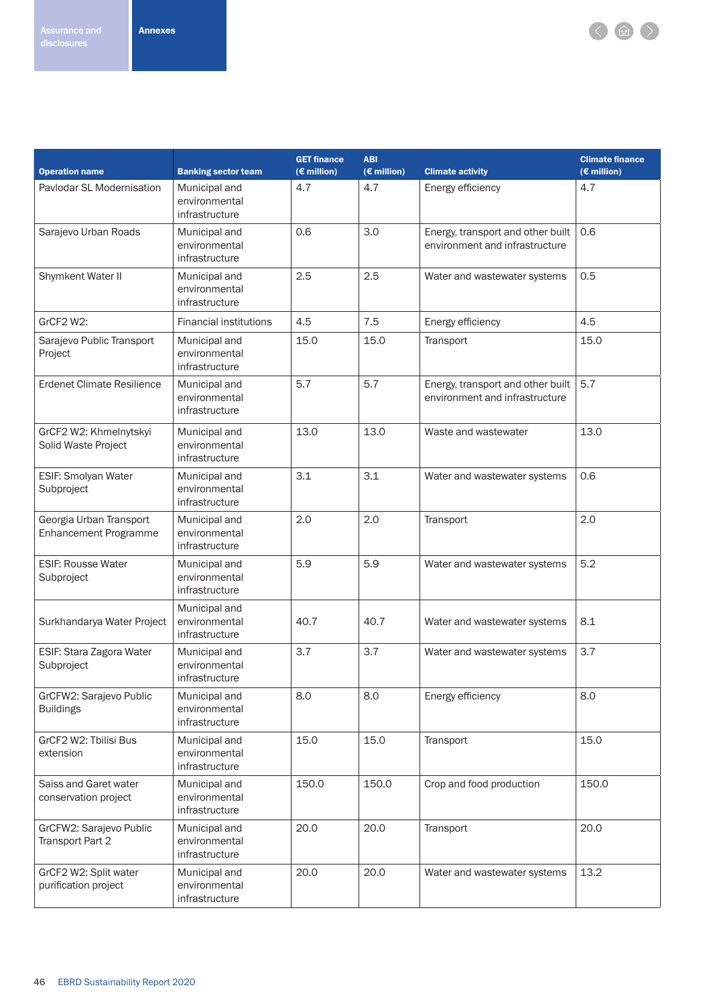

| <b>Operation name</b>                                   | <b>Banking sector team</b>                       | <b>GET finance</b><br>$(E$ million) | <b>ABI</b><br>$(E$ million) | <b>Climate activity</b>                                             | <b>Climate finance</b><br>$(E$ million) |  |
|---------------------------------------------------------|--------------------------------------------------|-------------------------------------|-----------------------------|---------------------------------------------------------------------|-----------------------------------------|--|
| Paylodar SL Modernisation                               | Municipal and<br>environmental<br>infrastructure | 4.7                                 | 4.7                         | Energy efficiency                                                   | 4.7                                     |  |
| Sarajevo Urban Roads                                    | Municipal and<br>environmental<br>infrastructure | 0.6                                 | 3.0                         | Energy, transport and other built<br>environment and infrastructure | 0.6                                     |  |
| Shymkent Water II                                       | Municipal and<br>environmental<br>infrastructure | 2.5                                 | 2.5                         | Water and wastewater systems                                        | 0.5                                     |  |
| GrCF2 W2:                                               | <b>Financial institutions</b>                    | 4.5                                 | 7.5                         | Energy efficiency                                                   | 4.5                                     |  |
| Sarajevo Public Transport<br>Project                    | Municipal and<br>environmental<br>infrastructure | 15.0                                | 15.0                        | Transport                                                           | 15.0                                    |  |
| <b>Erdenet Climate Resilience</b>                       | Municipal and<br>environmental<br>infrastructure | 5.7                                 | 5.7                         | Energy, transport and other built<br>environment and infrastructure | 5.7                                     |  |
| GrCF2 W2: Khmelnytskyi<br>Solid Waste Project           | Municipal and<br>environmental<br>infrastructure | 13.0                                | 13.0                        | Waste and wastewater                                                | 13.0                                    |  |
| ESIF: Smolyan Water<br>Subproject                       | Municipal and<br>environmental<br>infrastructure | 3.1                                 | 3.1                         | Water and wastewater systems                                        | 0.6                                     |  |
| Georgia Urban Transport<br><b>Enhancement Programme</b> | Municipal and<br>environmental<br>infrastructure | 2.0                                 | 2.0                         | Transport                                                           | 2.0                                     |  |
| <b>ESIF: Rousse Water</b><br>Subproject                 | Municipal and<br>environmental<br>infrastructure | 5.9                                 | 5.9                         | Water and wastewater systems                                        | 5.2                                     |  |
| Surkhandarya Water Project                              | Municipal and<br>environmental<br>infrastructure | 40.7                                | 40.7                        | Water and wastewater systems                                        | 8.1                                     |  |
| ESIF: Stara Zagora Water<br>Subproject                  | Municipal and<br>environmental<br>infrastructure | 3.7                                 | 3.7                         | Water and wastewater systems                                        | 3.7                                     |  |
| GrCFW2: Sarajevo Public<br><b>Buildings</b>             | Municipal and<br>environmental<br>infrastructure | 8.0                                 | 8.0                         | Energy efficiency                                                   | 8.0                                     |  |
| GrCF2 W2: Tbilisi Bus<br>extension                      | Municipal and<br>environmental<br>infrastructure | 15.0                                | 15.0                        | Transport                                                           | 15.0                                    |  |
| Saiss and Garet water<br>conservation project           | Municipal and<br>environmental<br>infrastructure | 150.0                               | 150.0                       | Crop and food production                                            | 150.0                                   |  |
| GrCFW2: Sarajevo Public<br>Transport Part 2             | Municipal and<br>environmental<br>infrastructure | 20.0                                | 20.0                        | Transport                                                           | 20.0                                    |  |
| GrCF2 W2: Split water<br>purification project           | Municipal and<br>environmental<br>infrastructure | 20.0                                | 20.0                        | Water and wastewater systems                                        | 13.2                                    |  |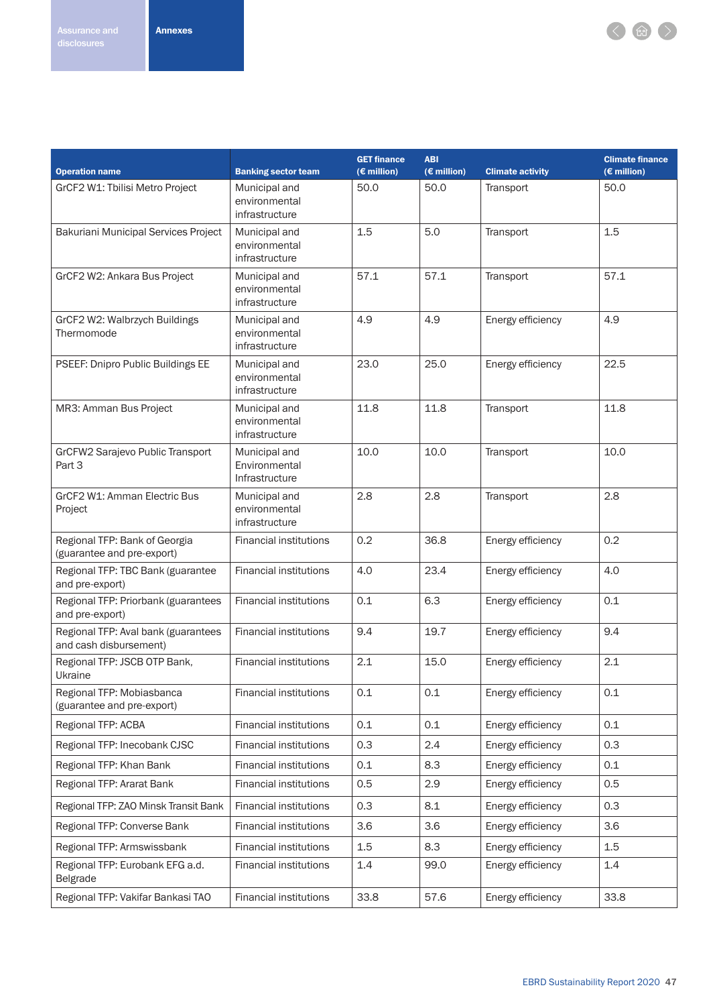< 曲>

|                                                               |                                                  | <b>GET finance</b><br><b>ABI</b> |             |                         |                       |
|---------------------------------------------------------------|--------------------------------------------------|----------------------------------|-------------|-------------------------|-----------------------|
| <b>Operation name</b>                                         | <b>Banking sector team</b>                       | $(E \text{ million})$            | (€ million) | <b>Climate activity</b> | $(E \text{ million})$ |
| GrCF2 W1: Tbilisi Metro Project                               | Municipal and<br>environmental<br>infrastructure | 50.0                             | 50.0        | Transport               | 50.0                  |
| Bakuriani Municipal Services Project                          | Municipal and<br>environmental<br>infrastructure | 1.5                              | 5.0         | Transport               | 1.5                   |
| GrCF2 W2: Ankara Bus Project                                  | Municipal and<br>environmental<br>infrastructure | 57.1                             | 57.1        | Transport               | 57.1                  |
| GrCF2 W2: Walbrzych Buildings<br>Thermomode                   | Municipal and<br>environmental<br>infrastructure | 4.9                              | 4.9         | Energy efficiency       | 4.9                   |
| PSEEF: Dnipro Public Buildings EE                             | Municipal and<br>environmental<br>infrastructure | 23.0                             | 25.0        | Energy efficiency       | 22.5                  |
| MR3: Amman Bus Project                                        | Municipal and<br>environmental<br>infrastructure | 11.8                             | 11.8        | Transport               | 11.8                  |
| GrCFW2 Sarajevo Public Transport<br>Part 3                    | Municipal and<br>Environmental<br>Infrastructure | 10.0                             | 10.0        | Transport               | 10.0                  |
| GrCF2 W1: Amman Electric Bus<br>Project                       | Municipal and<br>environmental<br>infrastructure | 2.8                              | 2.8         | Transport               | 2.8                   |
| Regional TFP: Bank of Georgia<br>(guarantee and pre-export)   | <b>Financial institutions</b>                    | 0.2                              | 36.8        | Energy efficiency       | 0.2                   |
| Regional TFP: TBC Bank (guarantee<br>and pre-export)          | <b>Financial institutions</b>                    | 4.0                              | 23.4        | Energy efficiency       | 4.0                   |
| Regional TFP: Priorbank (guarantees<br>and pre-export)        | <b>Financial institutions</b>                    | 0.1                              | 6.3         | Energy efficiency       | 0.1                   |
| Regional TFP: Aval bank (guarantees<br>and cash disbursement) | <b>Financial institutions</b>                    | 9.4                              | 19.7        | Energy efficiency       | 9.4                   |
| Regional TFP: JSCB OTP Bank,<br>Ukraine                       | <b>Financial institutions</b>                    | 2.1                              | 15.0        | Energy efficiency       | 2.1                   |
| Regional TFP: Mobiasbanca<br>(guarantee and pre-export)       | <b>Financial institutions</b>                    | 0.1                              | 0.1         | Energy efficiency       | 0.1                   |
| Regional TFP: ACBA                                            | <b>Financial institutions</b>                    | 0.1                              | 0.1         | Energy efficiency       | 0.1                   |
| Regional TFP: Inecobank CJSC                                  | <b>Financial institutions</b>                    | 0.3                              | 2.4         | Energy efficiency       | 0.3                   |
| Regional TFP: Khan Bank                                       | <b>Financial institutions</b>                    | 0.1                              | 8.3         | Energy efficiency       | 0.1                   |
| Regional TFP: Ararat Bank                                     | <b>Financial institutions</b>                    | 0.5                              | 2.9         | Energy efficiency       | 0.5                   |
| Regional TFP: ZAO Minsk Transit Bank                          | <b>Financial institutions</b>                    | 0.3                              | 8.1         | Energy efficiency       | 0.3                   |
| Regional TFP: Converse Bank                                   | <b>Financial institutions</b>                    | 3.6                              | 3.6         | Energy efficiency       | 3.6                   |
| Regional TFP: Armswissbank                                    | <b>Financial institutions</b>                    | 1.5                              | 8.3         | Energy efficiency       | 1.5                   |
| Regional TFP: Eurobank EFG a.d.<br>Belgrade                   | <b>Financial institutions</b>                    | 1.4                              | 99.0        | Energy efficiency       | 1.4                   |
| Regional TFP: Vakifar Bankasi TAO                             | <b>Financial institutions</b>                    | 33.8                             | 57.6        | Energy efficiency       | 33.8                  |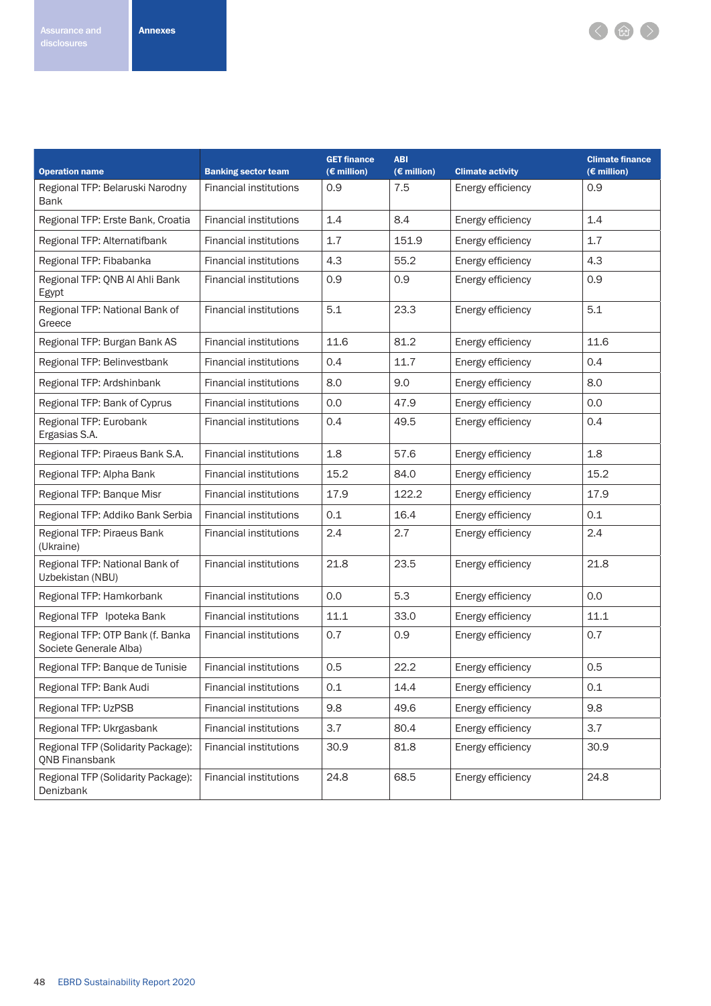

| <b>Operation name</b>                                       | <b>Banking sector team</b>    | <b>GET finance</b><br>$(E$ million) | <b>ABI</b><br>$(E$ million) | <b>Climate activity</b> | <b>Climate finance</b><br>$(E$ million) |
|-------------------------------------------------------------|-------------------------------|-------------------------------------|-----------------------------|-------------------------|-----------------------------------------|
| Regional TFP: Belaruski Narodny<br><b>Bank</b>              | <b>Financial institutions</b> | 0.9                                 | 7.5                         | Energy efficiency       | 0.9                                     |
| Regional TFP: Erste Bank, Croatia                           | <b>Financial institutions</b> | 1.4                                 | 8.4                         | Energy efficiency       | 1.4                                     |
| Regional TFP: Alternatifbank                                | <b>Financial institutions</b> | 1.7                                 | 151.9                       | Energy efficiency       | 1.7                                     |
| Regional TFP: Fibabanka                                     | <b>Financial institutions</b> | 4.3                                 | 55.2                        | Energy efficiency       | 4.3                                     |
| Regional TFP: QNB Al Ahli Bank<br>Egypt                     | <b>Financial institutions</b> | 0.9                                 | 0.9                         | Energy efficiency       | 0.9                                     |
| Regional TFP: National Bank of<br>Greece                    | <b>Financial institutions</b> | 5.1                                 | 23.3                        | Energy efficiency       | 5.1                                     |
| Regional TFP: Burgan Bank AS                                | <b>Financial institutions</b> | 11.6                                | 81.2                        | Energy efficiency       | 11.6                                    |
| Regional TFP: Belinvestbank                                 | <b>Financial institutions</b> | 0.4                                 | 11.7                        | Energy efficiency       | 0.4                                     |
| Regional TFP: Ardshinbank                                   | <b>Financial institutions</b> | 8.0                                 | 9.0                         | Energy efficiency       | 8.0                                     |
| Regional TFP: Bank of Cyprus                                | <b>Financial institutions</b> | 0.0                                 | 47.9                        | Energy efficiency       | 0.0                                     |
| Regional TFP: Eurobank<br>Ergasias S.A.                     | <b>Financial institutions</b> | 0.4                                 | 49.5                        | Energy efficiency       | 0.4                                     |
| Regional TFP: Piraeus Bank S.A.                             | <b>Financial institutions</b> | 1.8                                 | 57.6                        | Energy efficiency       | 1.8                                     |
| Regional TFP: Alpha Bank                                    | <b>Financial institutions</b> | 15.2                                | 84.0                        | Energy efficiency       | 15.2                                    |
| Regional TFP: Banque Misr                                   | <b>Financial institutions</b> | 17.9                                | 122.2                       | Energy efficiency       | 17.9                                    |
| Regional TFP: Addiko Bank Serbia                            | <b>Financial institutions</b> | 0.1                                 | 16.4                        | Energy efficiency       | 0.1                                     |
| Regional TFP: Piraeus Bank<br>(Ukraine)                     | <b>Financial institutions</b> | 2.4                                 | 2.7                         | Energy efficiency       | 2.4                                     |
| Regional TFP: National Bank of<br>Uzbekistan (NBU)          | <b>Financial institutions</b> | 21.8                                | 23.5                        | Energy efficiency       | 21.8                                    |
| Regional TFP: Hamkorbank                                    | <b>Financial institutions</b> | 0.0                                 | 5.3                         | Energy efficiency       | 0.0                                     |
| Regional TFP Ipoteka Bank                                   | <b>Financial institutions</b> | 11.1                                | 33.0                        | Energy efficiency       | 11.1                                    |
| Regional TFP: OTP Bank (f. Banka<br>Societe Generale Alba)  | <b>Financial institutions</b> | 0.7                                 | 0.9                         | Energy efficiency       | 0.7                                     |
| Regional TFP: Banque de Tunisie                             | <b>Financial institutions</b> | 0.5                                 | 22.2                        | Energy efficiency       | 0.5                                     |
| Regional TFP: Bank Audi                                     | Financial institutions        | 0.1                                 | 14.4                        | Energy efficiency       | 0.1                                     |
| Regional TFP: UzPSB                                         | <b>Financial institutions</b> | 9.8                                 | 49.6                        | Energy efficiency       | 9.8                                     |
| Regional TFP: Ukrgasbank                                    | <b>Financial institutions</b> | 3.7                                 | 80.4                        | Energy efficiency       | 3.7                                     |
| Regional TFP (Solidarity Package):<br><b>QNB Finansbank</b> | <b>Financial institutions</b> | 30.9                                | 81.8                        | Energy efficiency       | 30.9                                    |
| Regional TFP (Solidarity Package):<br>Denizbank             | <b>Financial institutions</b> | 24.8                                | 68.5                        | Energy efficiency       | 24.8                                    |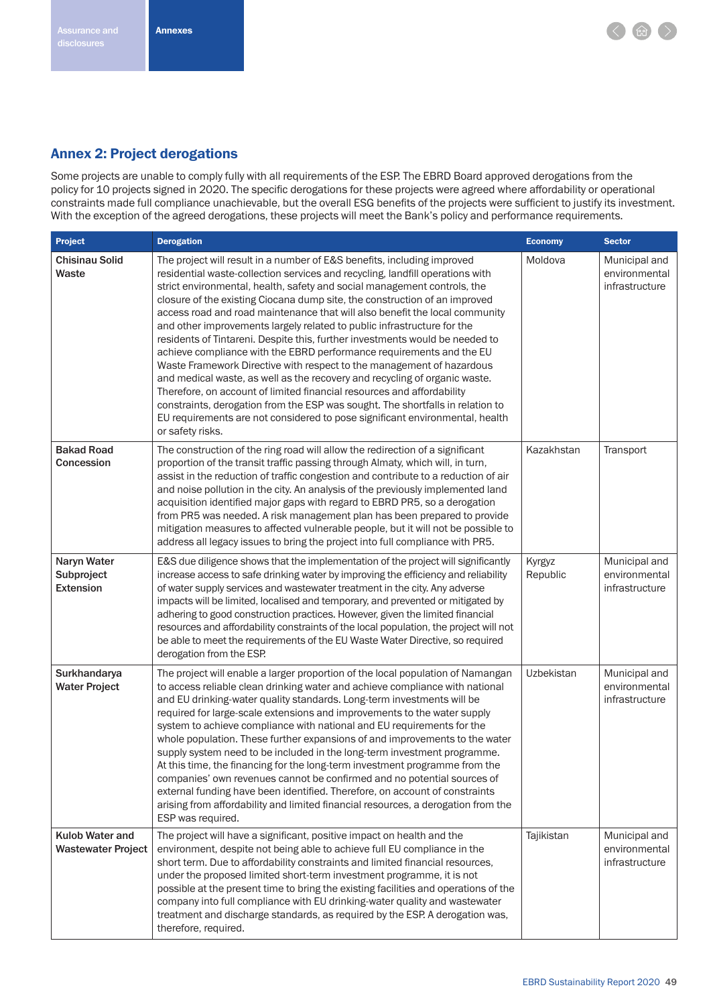

### Annex 2: Project derogations

Some projects are unable to comply fully with all requirements of the ESP. The EBRD Board approved derogations from the policy for 10 projects signed in 2020. The specific derogations for these projects were agreed where affordability or operational constraints made full compliance unachievable, but the overall ESG benefits of the projects were sufficient to justify its investment. With the exception of the agreed derogations, these projects will meet the Bank's policy and performance requirements.

| Project                                       | <b>Derogation</b>                                                                                                                                                                                                                                                                                                                                                                                                                                                                                                                                                                                                                                                                                                                                                                                                                                                                                                                                                                                                                                           | <b>Economy</b>     | <b>Sector</b>                                    |
|-----------------------------------------------|-------------------------------------------------------------------------------------------------------------------------------------------------------------------------------------------------------------------------------------------------------------------------------------------------------------------------------------------------------------------------------------------------------------------------------------------------------------------------------------------------------------------------------------------------------------------------------------------------------------------------------------------------------------------------------------------------------------------------------------------------------------------------------------------------------------------------------------------------------------------------------------------------------------------------------------------------------------------------------------------------------------------------------------------------------------|--------------------|--------------------------------------------------|
| <b>Chisinau Solid</b><br>Waste                | The project will result in a number of E&S benefits, including improved<br>residential waste-collection services and recycling, landfill operations with<br>strict environmental, health, safety and social management controls, the<br>closure of the existing Ciocana dump site, the construction of an improved<br>access road and road maintenance that will also benefit the local community<br>and other improvements largely related to public infrastructure for the<br>residents of Tintareni. Despite this, further investments would be needed to<br>achieve compliance with the EBRD performance requirements and the EU<br>Waste Framework Directive with respect to the management of hazardous<br>and medical waste, as well as the recovery and recycling of organic waste.<br>Therefore, on account of limited financial resources and affordability<br>constraints, derogation from the ESP was sought. The shortfalls in relation to<br>EU requirements are not considered to pose significant environmental, health<br>or safety risks. | Moldova            | Municipal and<br>environmental<br>infrastructure |
| <b>Bakad Road</b><br>Concession               | The construction of the ring road will allow the redirection of a significant<br>proportion of the transit traffic passing through Almaty, which will, in turn,<br>assist in the reduction of traffic congestion and contribute to a reduction of air<br>and noise pollution in the city. An analysis of the previously implemented land<br>acquisition identified major gaps with regard to EBRD PR5, so a derogation<br>from PR5 was needed. A risk management plan has been prepared to provide<br>mitigation measures to affected vulnerable people, but it will not be possible to<br>address all legacy issues to bring the project into full compliance with PR5.                                                                                                                                                                                                                                                                                                                                                                                    | Kazakhstan         | Transport                                        |
| Naryn Water<br>Subproject<br><b>Extension</b> | E&S due diligence shows that the implementation of the project will significantly<br>increase access to safe drinking water by improving the efficiency and reliability<br>of water supply services and wastewater treatment in the city. Any adverse<br>impacts will be limited, localised and temporary, and prevented or mitigated by<br>adhering to good construction practices. However, given the limited financial<br>resources and affordability constraints of the local population, the project will not<br>be able to meet the requirements of the EU Waste Water Directive, so required<br>derogation from the ESP.                                                                                                                                                                                                                                                                                                                                                                                                                             | Kyrgyz<br>Republic | Municipal and<br>environmental<br>infrastructure |
| Surkhandarya<br><b>Water Project</b>          | The project will enable a larger proportion of the local population of Namangan<br>to access reliable clean drinking water and achieve compliance with national<br>and EU drinking-water quality standards. Long-term investments will be<br>required for large-scale extensions and improvements to the water supply<br>system to achieve compliance with national and EU requirements for the<br>whole population. These further expansions of and improvements to the water<br>supply system need to be included in the long-term investment programme.<br>At this time, the financing for the long-term investment programme from the<br>companies' own revenues cannot be confirmed and no potential sources of<br>external funding have been identified. Therefore, on account of constraints<br>arising from affordability and limited financial resources, a derogation from the<br>ESP was required.                                                                                                                                               | Uzbekistan         | Municipal and<br>environmental<br>infrastructure |
| Kulob Water and<br><b>Wastewater Project</b>  | The project will have a significant, positive impact on health and the<br>environment, despite not being able to achieve full EU compliance in the<br>short term. Due to affordability constraints and limited financial resources,<br>under the proposed limited short-term investment programme, it is not<br>possible at the present time to bring the existing facilities and operations of the<br>company into full compliance with EU drinking-water quality and wastewater<br>treatment and discharge standards, as required by the ESP. A derogation was,<br>therefore, required.                                                                                                                                                                                                                                                                                                                                                                                                                                                                   | Tajikistan         | Municipal and<br>environmental<br>infrastructure |